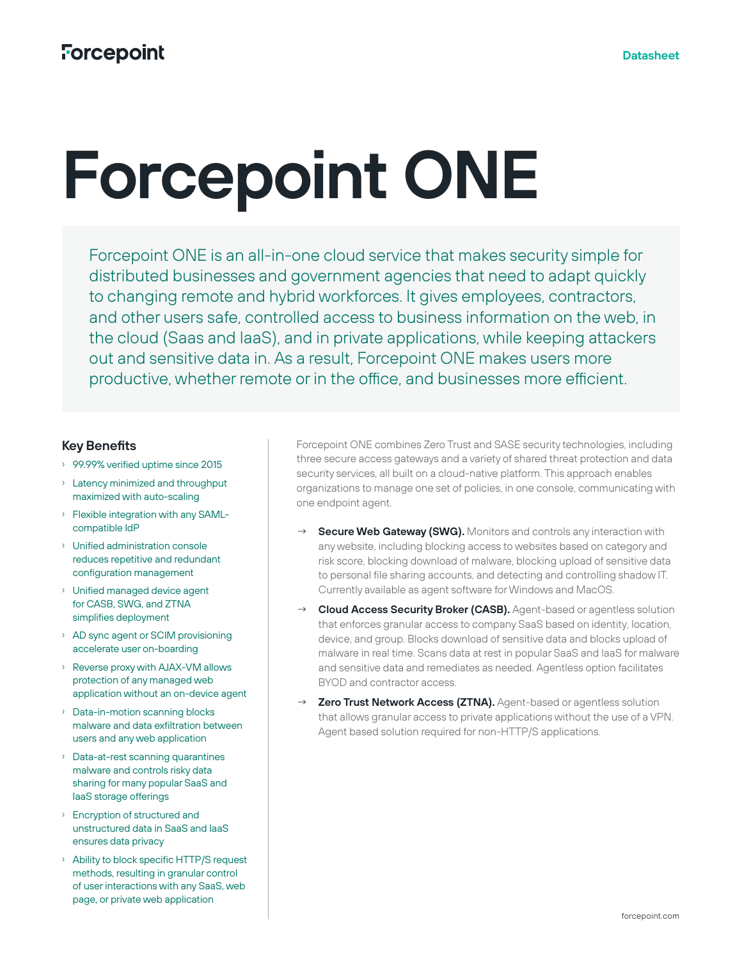# **Forcepoint ONE**

Forcepoint ONE is an all-in-one cloud service that makes security simple for distributed businesses and government agencies that need to adapt quickly to changing remote and hybrid workforces. It gives employees, contractors, and other users safe, controlled access to business information on the web, in the cloud (Saas and IaaS), and in private applications, while keeping attackers out and sensitive data in. As a result, Forcepoint ONE makes users more productive, whether remote or in the office, and businesses more efficient.

### **Key Benefits**

- › 99.99% verified uptime since 2015
- › Latency minimized and throughput maximized with auto-scaling
- › Flexible integration with any SAMLcompatible IdP
- › Unified administration console reduces repetitive and redundant configuration management
- › Unified managed device agent for CASB, SWG, and ZTNA simplifies deployment
- › AD sync agent or SCIM provisioning accelerate user on-boarding
- › Reverse proxy with AJAX-VM allows protection of any managed web application without an on-device agent
- › Data-in-motion scanning blocks malware and data exfiltration between users and any web application
- › Data-at-rest scanning quarantines malware and controls risky data sharing for many popular SaaS and IaaS storage offerings
- › Encryption of structured and unstructured data in SaaS and IaaS ensures data privacy
- › Ability to block specific HTTP/S request methods, resulting in granular control of user interactions with any SaaS, web page, or private web application

Forcepoint ONE combines Zero Trust and SASE security technologies, including three secure access gateways and a variety of shared threat protection and data security services, all built on a cloud-native platform. This approach enables organizations to manage one set of policies, in one console, communicating with one endpoint agent.

- → **Secure Web Gateway (SWG).** Monitors and controls any interaction with any website, including blocking access to websites based on category and risk score, blocking download of malware, blocking upload of sensitive data to personal file sharing accounts, and detecting and controlling shadow IT. Currently available as agent software for Windows and MacOS.
- **Cloud Access Security Broker (CASB).** Agent-based or agentless solution that enforces granular access to company SaaS based on identity, location, device, and group. Blocks download of sensitive data and blocks upload of malware in real time. Scans data at rest in popular SaaS and IaaS for malware and sensitive data and remediates as needed. Agentless option facilitates BYOD and contractor access.
- **Zero Trust Network Access (ZTNA).** Agent-based or agentless solution that allows granular access to private applications without the use of a VPN. Agent based solution required for non-HTTP/S applications.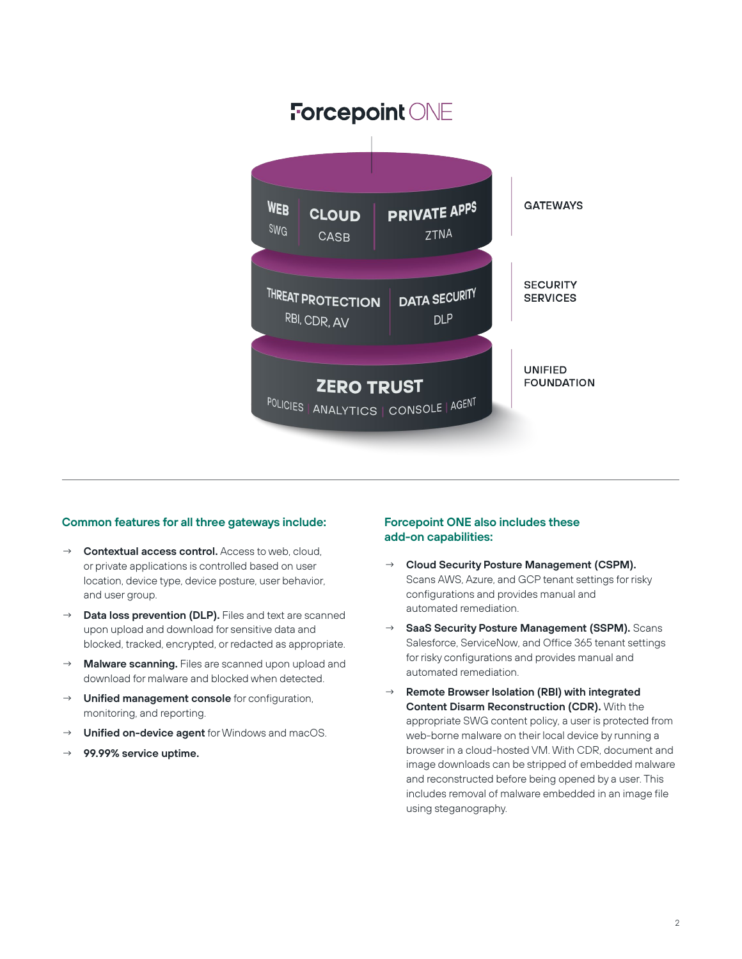

#### **Common features for all three gateways include:**

- Contextual access control. Access to web, cloud, or private applications is controlled based on user location, device type, device posture, user behavior, and user group.
- → **Data loss prevention (DLP).** Files and text are scanned upon upload and download for sensitive data and blocked, tracked, encrypted, or redacted as appropriate.
- Malware scanning. Files are scanned upon upload and download for malware and blocked when detected.
- → **Unified management console** for configuration, monitoring, and reporting.
- → **Unified on-device agent** for Windows and macOS.
- → **99.99% service uptime.**

#### **Forcepoint ONE also includes these add-on capabilities:**

- → **Cloud Security Posture Management (CSPM).**  Scans AWS, Azure, and GCP tenant settings for risky configurations and provides manual and automated remediation.
- SaaS Security Posture Management (SSPM). Scans Salesforce, ServiceNow, and Office 365 tenant settings for risky configurations and provides manual and automated remediation.
- → **Remote Browser Isolation (RBI) with integrated Content Disarm Reconstruction (CDR).** With the appropriate SWG content policy, a user is protected from web-borne malware on their local device by running a browser in a cloud-hosted VM. With CDR, document and image downloads can be stripped of embedded malware and reconstructed before being opened by a user. This includes removal of malware embedded in an image file using steganography.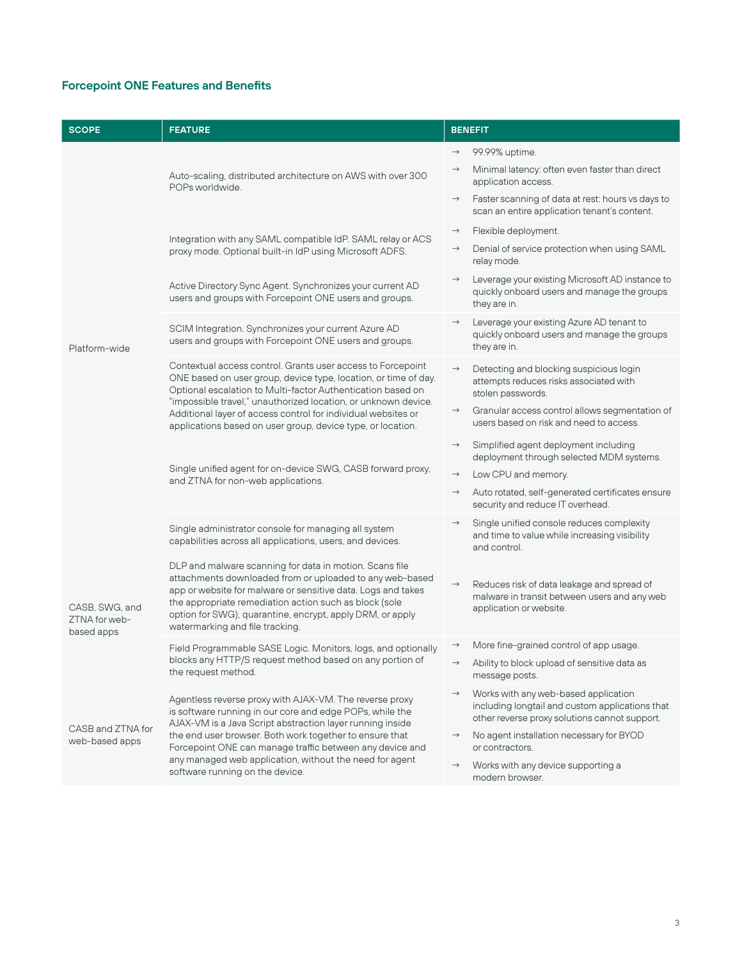## **Forcepoint ONE Features and Benefits**

| <b>SCOPE</b>                                  | <b>FEATURE</b>                                                                                                                                                                                                                                                                                                                                                                                        | <b>BENEFIT</b>                                                                                                                                                                                                                                                                                                      |
|-----------------------------------------------|-------------------------------------------------------------------------------------------------------------------------------------------------------------------------------------------------------------------------------------------------------------------------------------------------------------------------------------------------------------------------------------------------------|---------------------------------------------------------------------------------------------------------------------------------------------------------------------------------------------------------------------------------------------------------------------------------------------------------------------|
| Platform-wide                                 | Auto-scaling, distributed architecture on AWS with over 300<br>POPs worldwide.                                                                                                                                                                                                                                                                                                                        | 99.99% uptime.<br>$\rightarrow$<br>Minimal latency: often even faster than direct<br>$\rightarrow$<br>application access.<br>Faster scanning of data at rest: hours vs days to<br>$\rightarrow$<br>scan an entire application tenant's content.                                                                     |
|                                               | Integration with any SAML compatible IdP. SAML relay or ACS<br>proxy mode. Optional built-in IdP using Microsoft ADFS.                                                                                                                                                                                                                                                                                | Flexible deployment.<br>$\rightarrow$<br>Denial of service protection when using SAML<br>$\rightarrow$<br>relay mode.                                                                                                                                                                                               |
|                                               | Active Directory Sync Agent. Synchronizes your current AD<br>users and groups with Forcepoint ONE users and groups.                                                                                                                                                                                                                                                                                   | Leverage your existing Microsoft AD instance to<br>$\rightarrow$<br>quickly onboard users and manage the groups<br>they are in.                                                                                                                                                                                     |
|                                               | SCIM Integration. Synchronizes your current Azure AD<br>users and groups with Forcepoint ONE users and groups.                                                                                                                                                                                                                                                                                        | Leverage your existing Azure AD tenant to<br>$\rightarrow$<br>quickly onboard users and manage the groups<br>they are in.                                                                                                                                                                                           |
|                                               | Contextual access control. Grants user access to Forcepoint<br>ONE based on user group, device type, location, or time of day.<br>Optional escalation to Multi-factor Authentication based on<br>"impossible travel," unauthorized location, or unknown device.<br>Additional layer of access control for individual websites or<br>applications based on user group, device type, or location.       | $\rightarrow$<br>Detecting and blocking suspicious login<br>attempts reduces risks associated with<br>stolen passwords.<br>Granular access control allows segmentation of<br>$\rightarrow$<br>users based on risk and need to access.                                                                               |
|                                               | Single unified agent for on-device SWG, CASB forward proxy,<br>and ZTNA for non-web applications.                                                                                                                                                                                                                                                                                                     | Simplified agent deployment including<br>$\rightarrow$<br>deployment through selected MDM systems.<br>Low CPU and memory.<br>$\rightarrow$<br>Auto rotated, self-generated certificates ensure<br>$\rightarrow$<br>security and reduce IT overhead.                                                                 |
|                                               | Single administrator console for managing all system<br>capabilities across all applications, users, and devices.                                                                                                                                                                                                                                                                                     | Single unified console reduces complexity<br>$\rightarrow$<br>and time to value while increasing visibility<br>and control.                                                                                                                                                                                         |
| CASB, SWG, and<br>ZTNA for web-<br>based apps | DLP and malware scanning for data in motion. Scans file<br>attachments downloaded from or uploaded to any web-based<br>app or website for malware or sensitive data. Logs and takes<br>the appropriate remediation action such as block (sole<br>option for SWG), quarantine, encrypt, apply DRM, or apply<br>watermarking and file tracking.                                                         | Reduces risk of data leakage and spread of<br>$\rightarrow$<br>malware in transit between users and any web<br>application or website.                                                                                                                                                                              |
|                                               | Field Programmable SASE Logic. Monitors, logs, and optionally<br>blocks any HTTP/S request method based on any portion of<br>the request method.                                                                                                                                                                                                                                                      | More fine-grained control of app usage.<br>$\rightarrow$<br>Ability to block upload of sensitive data as<br>message posts.                                                                                                                                                                                          |
| CASB and ZTNA for<br>web-based apps           | Agentless reverse proxy with AJAX-VM. The reverse proxy<br>is software running in our core and edge POPs, while the<br>AJAX-VM is a Java Script abstraction layer running inside<br>the end user browser. Both work together to ensure that<br>Forcepoint ONE can manage traffic between any device and<br>any managed web application, without the need for agent<br>software running on the device. | Works with any web-based application<br>$\rightarrow$<br>including longtail and custom applications that<br>other reverse proxy solutions cannot support.<br>No agent installation necessary for BYOD<br>$\rightarrow$<br>or contractors.<br>$\rightarrow$<br>Works with any device supporting a<br>modern browser. |
|                                               |                                                                                                                                                                                                                                                                                                                                                                                                       |                                                                                                                                                                                                                                                                                                                     |